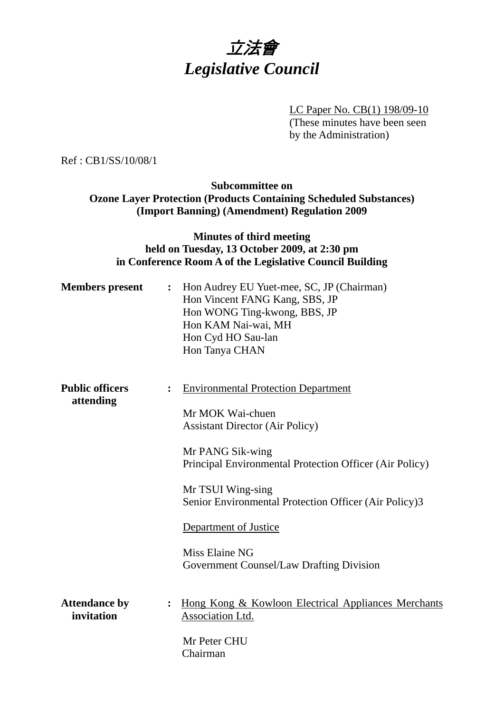

LC Paper No. CB(1) 198/09-10 (These minutes have been seen by the Administration)

Ref : CB1/SS/10/08/1

## **Subcommittee on Ozone Layer Protection (Products Containing Scheduled Substances) (Import Banning) (Amendment) Regulation 2009**

## **Minutes of third meeting held on Tuesday, 13 October 2009, at 2:30 pm in Conference Room A of the Legislative Council Building**

| <b>Members</b> present              | $\ddot{\cdot}$ | Hon Audrey EU Yuet-mee, SC, JP (Chairman)<br>Hon Vincent FANG Kang, SBS, JP<br>Hon WONG Ting-kwong, BBS, JP<br>Hon KAM Nai-wai, MH<br>Hon Cyd HO Sau-lan<br>Hon Tanya CHAN                                                                                                                                                                                   |
|-------------------------------------|----------------|--------------------------------------------------------------------------------------------------------------------------------------------------------------------------------------------------------------------------------------------------------------------------------------------------------------------------------------------------------------|
| <b>Public officers</b><br>attending | $\ddot{\cdot}$ | <b>Environmental Protection Department</b><br>Mr MOK Wai-chuen<br><b>Assistant Director (Air Policy)</b><br>Mr PANG Sik-wing<br>Principal Environmental Protection Officer (Air Policy)<br>Mr TSUI Wing-sing<br>Senior Environmental Protection Officer (Air Policy)3<br>Department of Justice<br>Miss Elaine NG<br>Government Counsel/Law Drafting Division |
| <b>Attendance by</b><br>invitation  | :              | Hong Kong & Kowloon Electrical Appliances Merchants<br>Association Ltd.<br>Mr Peter CHU<br>Chairman                                                                                                                                                                                                                                                          |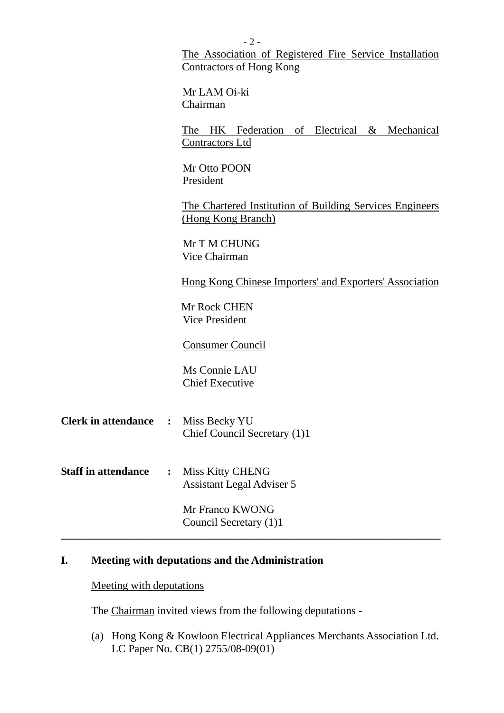|                            |                | $-2-$                                                                               |  |  |  |
|----------------------------|----------------|-------------------------------------------------------------------------------------|--|--|--|
|                            |                | The Association of Registered Fire Service Installation<br>Contractors of Hong Kong |  |  |  |
|                            |                | Mr LAM Oi-ki<br>Chairman                                                            |  |  |  |
|                            |                | The HK Federation of Electrical & Mechanical<br><b>Contractors Ltd</b>              |  |  |  |
|                            |                | Mr Otto POON<br>President                                                           |  |  |  |
|                            |                | The Chartered Institution of Building Services Engineers<br>(Hong Kong Branch)      |  |  |  |
|                            |                | Mr T M CHUNG<br>Vice Chairman                                                       |  |  |  |
|                            |                | Hong Kong Chinese Importers' and Exporters' Association                             |  |  |  |
|                            |                | Mr Rock CHEN<br><b>Vice President</b>                                               |  |  |  |
|                            |                | <b>Consumer Council</b>                                                             |  |  |  |
|                            |                | Ms Connie LAU<br><b>Chief Executive</b>                                             |  |  |  |
| <b>Clerk in attendance</b> | $\ddot{\cdot}$ | Miss Becky YU<br>Chief Council Secretary (1)1                                       |  |  |  |
| <b>Staff in attendance</b> | $\ddot{\cdot}$ | <b>Miss Kitty CHENG</b><br><b>Assistant Legal Adviser 5</b>                         |  |  |  |
|                            |                | Mr Franco KWONG<br>Council Secretary (1)1                                           |  |  |  |

# **I. Meeting with deputations and the Administration**

## Meeting with deputations

The Chairman invited views from the following deputations -

(a) Hong Kong & Kowloon Electrical Appliances Merchants Association Ltd. LC Paper No. CB(1) 2755/08-09(01)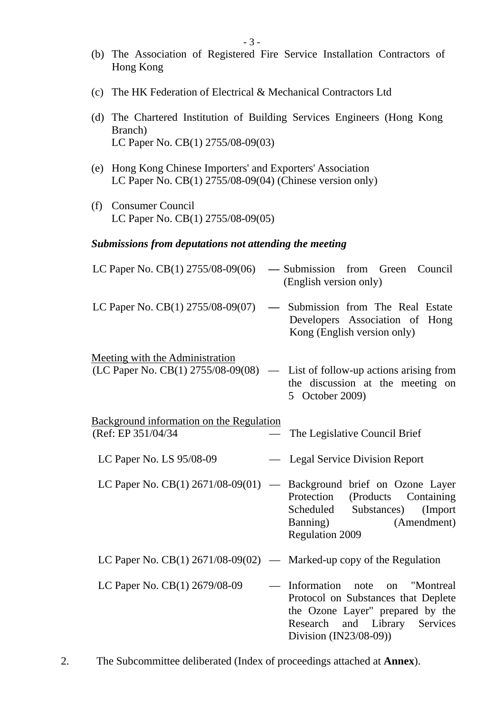- (b) The Association of Registered Fire Service Installation Contractors of Hong Kong
- (c) The HK Federation of Electrical & Mechanical Contractors Ltd
- (d) The Chartered Institution of Building Services Engineers (Hong Kong Branch) LC Paper No. CB(1) 2755/08-09(03)
- (e) Hong Kong Chinese Importers' and Exporters' Association LC Paper No. CB(1) 2755/08-09(04) (Chinese version only)
- (f) Consumer Council LC Paper No. CB(1) 2755/08-09(05)

#### *Submissions from deputations not attending the meeting*

| LC Paper No. $CB(1)$ 2755/08-09(06)                                          |               | — Submission from Green Council<br>(English version only)                                                                                                                    |
|------------------------------------------------------------------------------|---------------|------------------------------------------------------------------------------------------------------------------------------------------------------------------------------|
| LC Paper No. CB(1) 2755/08-09(07)                                            | $\frac{1}{2}$ | Submission from The Real Estate<br>Developers Association of Hong<br>Kong (English version only)                                                                             |
| <b>Meeting with the Administration</b><br>(LC Paper No. CB(1) 2755/08-09(08) | $\frac{1}{2}$ | List of follow-up actions arising from<br>the discussion at the meeting on<br>5 October 2009)                                                                                |
| <b>Background information on the Regulation</b><br>(Ref: EP 351/04/34)       |               | The Legislative Council Brief                                                                                                                                                |
| LC Paper No. LS 95/08-09                                                     | $\frac{1}{2}$ | <b>Legal Service Division Report</b>                                                                                                                                         |
| LC Paper No. CB(1) 2671/08-09(01)                                            |               | - Background brief on Ozone Layer<br>Protection<br>(Products)<br>Containing<br>Scheduled Substances) (Import<br>Banning)<br>(Amendment)<br><b>Regulation 2009</b>            |
| LC Paper No. CB(1) $2671/08-09(02)$ — Marked-up copy of the Regulation       |               |                                                                                                                                                                              |
| LC Paper No. CB(1) 2679/08-09                                                |               | Information note<br>"Montreal<br>on<br>Protocol on Substances that Deplete<br>the Ozone Layer" prepared by the<br>and Library Services<br>Research<br>Division (IN23/08-09)) |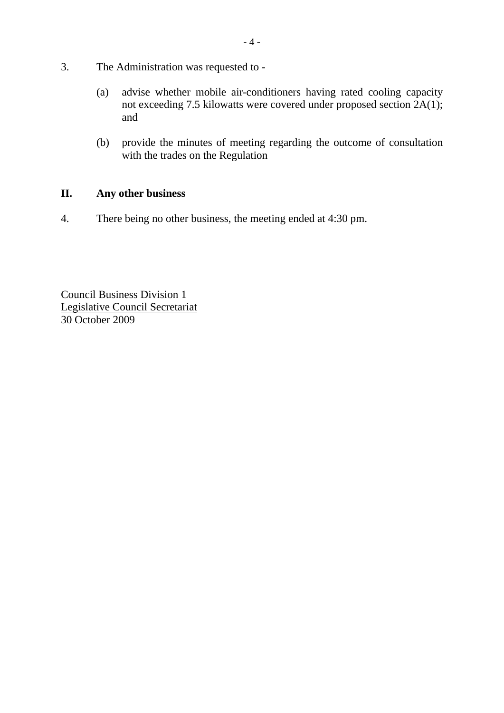- 3. The Administration was requested to
	- (a) advise whether mobile air-conditioners having rated cooling capacity not exceeding 7.5 kilowatts were covered under proposed section 2A(1); and
	- (b) provide the minutes of meeting regarding the outcome of consultation with the trades on the Regulation

## **II. Any other business**

4. There being no other business, the meeting ended at 4:30 pm.

Council Business Division 1 Legislative Council Secretariat 30 October 2009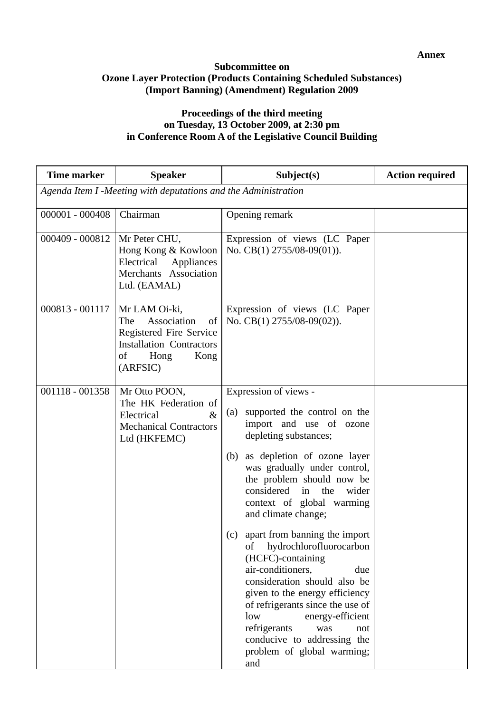#### **Subcommittee on Ozone Layer Protection (Products Containing Scheduled Substances) (Import Banning) (Amendment) Regulation 2009**

### **Proceedings of the third meeting on Tuesday, 13 October 2009, at 2:30 pm in Conference Room A of the Legislative Council Building**

| <b>Time marker</b> | <b>Speaker</b>                                                                                                                            | Subject(s)                                                                                                                                                                                                                                                                                                                                                                                                                                                                                                                                                                                                                                                            | <b>Action required</b> |
|--------------------|-------------------------------------------------------------------------------------------------------------------------------------------|-----------------------------------------------------------------------------------------------------------------------------------------------------------------------------------------------------------------------------------------------------------------------------------------------------------------------------------------------------------------------------------------------------------------------------------------------------------------------------------------------------------------------------------------------------------------------------------------------------------------------------------------------------------------------|------------------------|
|                    | Agenda Item I -Meeting with deputations and the Administration                                                                            |                                                                                                                                                                                                                                                                                                                                                                                                                                                                                                                                                                                                                                                                       |                        |
| 000001 - 000408    | Chairman                                                                                                                                  | Opening remark                                                                                                                                                                                                                                                                                                                                                                                                                                                                                                                                                                                                                                                        |                        |
| 000409 - 000812    | Mr Peter CHU,<br>Hong Kong & Kowloon<br>Electrical<br>Appliances<br>Merchants Association<br>Ltd. (EAMAL)                                 | Expression of views (LC Paper<br>No. CB(1) 2755/08-09(01)).                                                                                                                                                                                                                                                                                                                                                                                                                                                                                                                                                                                                           |                        |
| 000813 - 001117    | Mr LAM Oi-ki,<br>The<br>Association<br>of<br>Registered Fire Service<br><b>Installation Contractors</b><br>οf<br>Hong<br>Kong<br>(ARFSIC) | Expression of views (LC Paper<br>No. CB(1) $2755/08-09(02)$ ).                                                                                                                                                                                                                                                                                                                                                                                                                                                                                                                                                                                                        |                        |
| 001118 - 001358    | Mr Otto POON,<br>The HK Federation of<br>Electrical<br>$\&$<br><b>Mechanical Contractors</b><br>Ltd (HKFEMC)                              | Expression of views -<br>supported the control on the<br>(a)<br>import and use of ozone<br>depleting substances;<br>as depletion of ozone layer<br>(b)<br>was gradually under control,<br>the problem should now be<br>considered<br>the<br>in<br>wider<br>context of global warming<br>and climate change;<br>apart from banning the import<br>(c)<br>of hydrochlorofluorocarbon<br>(HCFC)-containing<br>air-conditioners,<br>due<br>consideration should also be<br>given to the energy efficiency<br>of refrigerants since the use of<br>energy-efficient<br>low<br>refrigerants<br>was<br>not<br>conducive to addressing the<br>problem of global warming;<br>and |                        |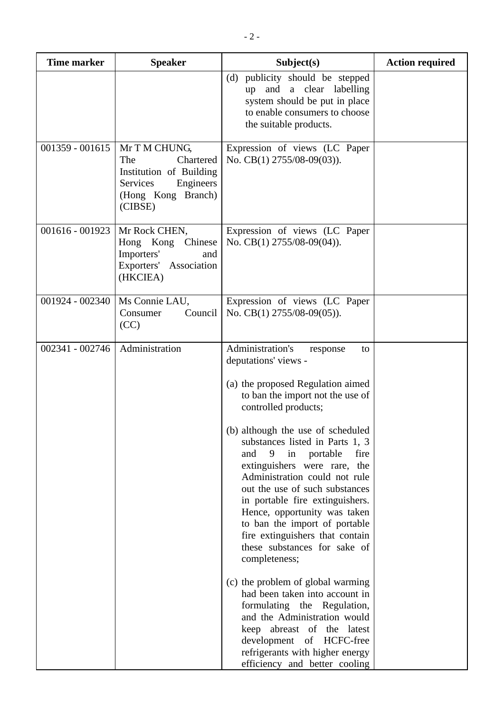| <b>Time marker</b> | <b>Speaker</b>                                                                                                         | Subject(s)                                                                                                                                                                                                                                                                                                                                                                                                                                                                                                                                                                                                                                                                                                                                                                                                                               | <b>Action required</b> |
|--------------------|------------------------------------------------------------------------------------------------------------------------|------------------------------------------------------------------------------------------------------------------------------------------------------------------------------------------------------------------------------------------------------------------------------------------------------------------------------------------------------------------------------------------------------------------------------------------------------------------------------------------------------------------------------------------------------------------------------------------------------------------------------------------------------------------------------------------------------------------------------------------------------------------------------------------------------------------------------------------|------------------------|
|                    |                                                                                                                        | (d) publicity should be stepped<br>and a clear labelling<br>up<br>system should be put in place<br>to enable consumers to choose<br>the suitable products.                                                                                                                                                                                                                                                                                                                                                                                                                                                                                                                                                                                                                                                                               |                        |
| $001359 - 001615$  | Mr T M CHUNG,<br>The<br>Chartered<br>Institution of Building<br>Services<br>Engineers<br>(Hong Kong Branch)<br>(CIBSE) | Expression of views (LC Paper<br>No. CB(1) 2755/08-09(03)).                                                                                                                                                                                                                                                                                                                                                                                                                                                                                                                                                                                                                                                                                                                                                                              |                        |
| 001616 - 001923    | Mr Rock CHEN,<br>Hong Kong Chinese<br>Importers'<br>and<br>Exporters' Association<br>(HKCIEA)                          | Expression of views (LC Paper<br>No. CB(1) 2755/08-09(04)).                                                                                                                                                                                                                                                                                                                                                                                                                                                                                                                                                                                                                                                                                                                                                                              |                        |
| 001924 - 002340    | Ms Connie LAU,<br>Consumer<br>Council<br>(CC)                                                                          | Expression of views (LC Paper<br>No. CB(1) 2755/08-09(05)).                                                                                                                                                                                                                                                                                                                                                                                                                                                                                                                                                                                                                                                                                                                                                                              |                        |
| 002341 - 002746    | Administration                                                                                                         | Administration's<br>to<br>response<br>deputations' views -<br>(a) the proposed Regulation aimed<br>to ban the import not the use of<br>controlled products;<br>(b) although the use of scheduled<br>substances listed in Parts 1, 3<br>9<br>fire<br>and<br>in<br>portable<br>extinguishers were rare, the<br>Administration could not rule<br>out the use of such substances<br>in portable fire extinguishers.<br>Hence, opportunity was taken<br>to ban the import of portable<br>fire extinguishers that contain<br>these substances for sake of<br>completeness;<br>(c) the problem of global warming<br>had been taken into account in<br>formulating the Regulation,<br>and the Administration would<br>keep abreast of the latest<br>development of HCFC-free<br>refrigerants with higher energy<br>efficiency and better cooling |                        |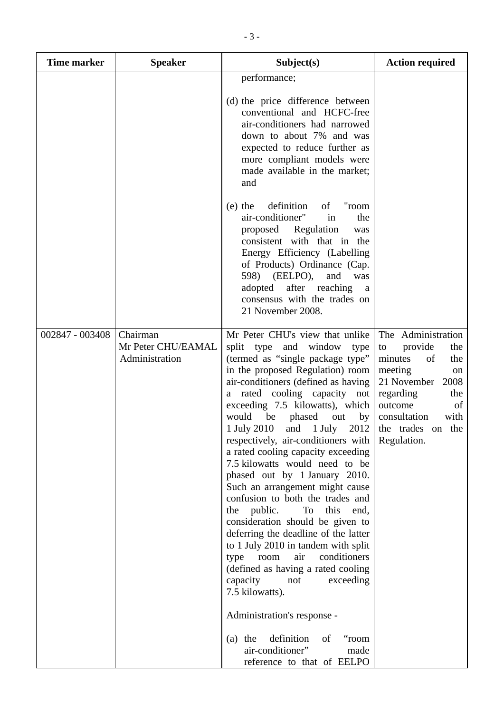| <b>Time marker</b> | <b>Speaker</b>                                   | Subject(s)                                                                                                                                                                                                                                                                                                                                                                                                                                                                                                                                                                                                                                                                                                                                                                                                                                                                                                                                                                                                      | <b>Action required</b>                                                                                                                                                                              |
|--------------------|--------------------------------------------------|-----------------------------------------------------------------------------------------------------------------------------------------------------------------------------------------------------------------------------------------------------------------------------------------------------------------------------------------------------------------------------------------------------------------------------------------------------------------------------------------------------------------------------------------------------------------------------------------------------------------------------------------------------------------------------------------------------------------------------------------------------------------------------------------------------------------------------------------------------------------------------------------------------------------------------------------------------------------------------------------------------------------|-----------------------------------------------------------------------------------------------------------------------------------------------------------------------------------------------------|
|                    |                                                  | performance;<br>(d) the price difference between<br>conventional and HCFC-free<br>air-conditioners had narrowed<br>down to about 7% and was<br>expected to reduce further as<br>more compliant models were<br>made available in the market;<br>and                                                                                                                                                                                                                                                                                                                                                                                                                                                                                                                                                                                                                                                                                                                                                              |                                                                                                                                                                                                     |
|                    |                                                  | definition<br>"room<br>$(e)$ the<br>of<br>air-conditioner"<br>in<br>the<br>Regulation<br>proposed<br>was<br>consistent with that in the<br>Energy Efficiency (Labelling<br>of Products) Ordinance (Cap.<br>598) (EELPO),<br>and<br>was<br>adopted after reaching<br>a<br>consensus with the trades on<br>21 November 2008.                                                                                                                                                                                                                                                                                                                                                                                                                                                                                                                                                                                                                                                                                      |                                                                                                                                                                                                     |
| 002847 - 003408    | Chairman<br>Mr Peter CHU/EAMAL<br>Administration | Mr Peter CHU's view that unlike<br>split type and window<br>type<br>(termed as "single package type"<br>in the proposed Regulation) room<br>air-conditioners (defined as having<br>rated cooling capacity not<br>a<br>exceeding 7.5 kilowatts), which<br>would<br>be<br>phased<br>out<br>by<br>$1 \text{ July } 2010$ and $1 \text{ July}$<br>respectively, air-conditioners with Regulation.<br>a rated cooling capacity exceeding<br>7.5 kilowatts would need to be<br>phased out by 1 January 2010.<br>Such an arrangement might cause<br>confusion to both the trades and<br>the public.<br><b>To</b><br>this<br>end,<br>consideration should be given to<br>deferring the deadline of the latter<br>to 1 July 2010 in tandem with split<br>conditioners<br>air<br>type<br>room<br>(defined as having a rated cooling<br>capacity<br>not<br>exceeding<br>7.5 kilowatts).<br>Administration's response -<br>definition<br>$(a)$ the<br>of<br>"room<br>air-conditioner"<br>made<br>reference to that of EELPO | The Administration<br>provide<br>the<br>to<br>minutes<br>of<br>the<br>meeting<br>on<br>21 November<br>2008<br>regarding<br>the<br>of<br>outcome<br>consultation<br>with<br>$2012$ the trades on the |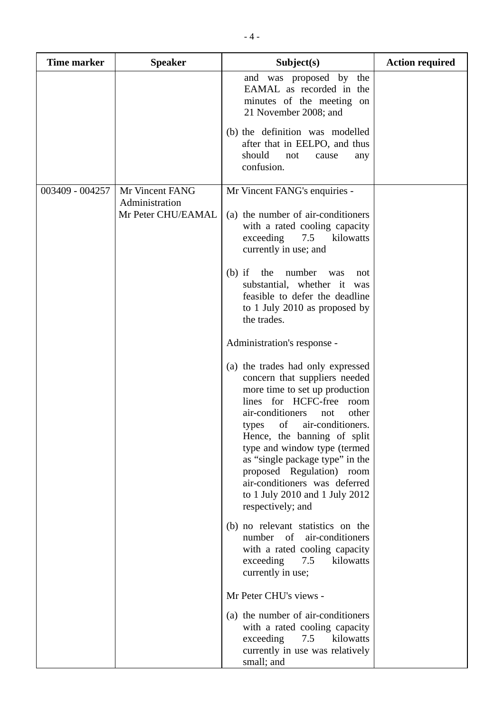| <b>Time marker</b> | <b>Speaker</b>                       | Subject(s)                                                                                                                                                                                                                                                                                                                                                                                                                      | <b>Action required</b> |
|--------------------|--------------------------------------|---------------------------------------------------------------------------------------------------------------------------------------------------------------------------------------------------------------------------------------------------------------------------------------------------------------------------------------------------------------------------------------------------------------------------------|------------------------|
|                    |                                      | and was proposed by the<br>EAMAL as recorded in the<br>minutes of the meeting on<br>21 November 2008; and                                                                                                                                                                                                                                                                                                                       |                        |
|                    |                                      | (b) the definition was modelled<br>after that in EELPO, and thus<br>should<br>not<br>cause<br>any<br>confusion.                                                                                                                                                                                                                                                                                                                 |                        |
| 003409 - 004257    | Mr Vincent FANG                      | Mr Vincent FANG's enquiries -                                                                                                                                                                                                                                                                                                                                                                                                   |                        |
|                    | Administration<br>Mr Peter CHU/EAMAL | (a) the number of air-conditioners<br>with a rated cooling capacity<br>exceeding<br>7.5<br>kilowatts<br>currently in use; and                                                                                                                                                                                                                                                                                                   |                        |
|                    |                                      | the<br>$(b)$ if<br>number<br>was<br>not<br>substantial, whether it was<br>feasible to defer the deadline<br>to 1 July 2010 as proposed by<br>the trades.                                                                                                                                                                                                                                                                        |                        |
|                    |                                      | Administration's response -                                                                                                                                                                                                                                                                                                                                                                                                     |                        |
|                    |                                      | (a) the trades had only expressed<br>concern that suppliers needed<br>more time to set up production<br>lines for HCFC-free room<br>air-conditioners<br>other<br>not<br>of<br>air-conditioners.<br>types<br>Hence, the banning of split<br>type and window type (termed<br>as "single package type" in the<br>proposed Regulation) room<br>air-conditioners was deferred<br>to 1 July 2010 and 1 July 2012<br>respectively; and |                        |
|                    |                                      | (b) no relevant statistics on the<br>number<br>of<br>air-conditioners<br>with a rated cooling capacity<br>exceeding<br>7.5<br>kilowatts<br>currently in use;                                                                                                                                                                                                                                                                    |                        |
|                    |                                      | Mr Peter CHU's views -                                                                                                                                                                                                                                                                                                                                                                                                          |                        |
|                    |                                      | (a) the number of air-conditioners<br>with a rated cooling capacity<br>7.5<br>kilowatts<br>exceeding<br>currently in use was relatively<br>small; and                                                                                                                                                                                                                                                                           |                        |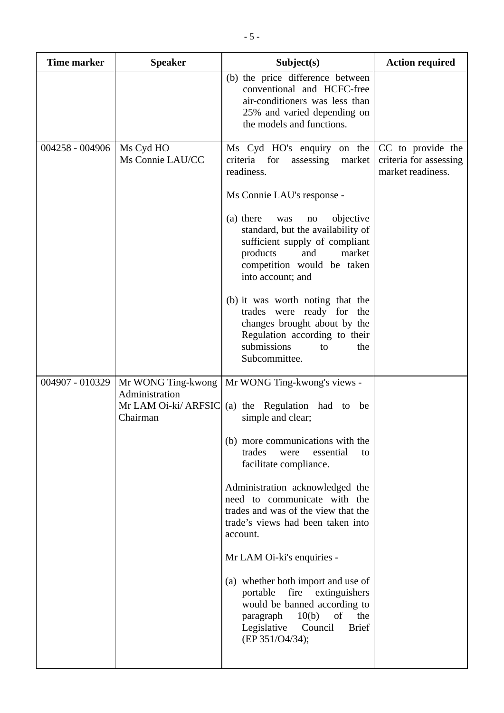| <b>Time marker</b> | <b>Speaker</b>                       | Subject(s)                                                                                                                                                                                           | <b>Action required</b>                                           |
|--------------------|--------------------------------------|------------------------------------------------------------------------------------------------------------------------------------------------------------------------------------------------------|------------------------------------------------------------------|
|                    |                                      | (b) the price difference between<br>conventional and HCFC-free<br>air-conditioners was less than<br>25% and varied depending on<br>the models and functions.                                         |                                                                  |
| 004258 - 004906    | Ms Cyd HO<br>Ms Connie LAU/CC        | Ms Cyd HO's enquiry on the<br>criteria for<br>assessing<br>market<br>readiness.                                                                                                                      | CC to provide the<br>criteria for assessing<br>market readiness. |
|                    |                                      | Ms Connie LAU's response -                                                                                                                                                                           |                                                                  |
|                    |                                      | (a) there<br>objective<br>was<br>no<br>standard, but the availability of<br>sufficient supply of compliant<br>products<br>and<br>market<br>competition would be taken<br>into account; and           |                                                                  |
|                    |                                      | (b) it was worth noting that the<br>trades were ready for the<br>changes brought about by the<br>Regulation according to their<br>submissions<br>the<br>to<br>Subcommittee.                          |                                                                  |
| 004907 - 010329    | Mr WONG Ting-kwong<br>Administration | Mr WONG Ting-kwong's views -                                                                                                                                                                         |                                                                  |
|                    | Chairman                             | Mr LAM Oi-ki/ ARFSIC $(a)$ the Regulation had to be<br>simple and clear;                                                                                                                             |                                                                  |
|                    |                                      | (b) more communications with the<br>trades<br>essential<br>were<br>to<br>facilitate compliance.                                                                                                      |                                                                  |
|                    |                                      | Administration acknowledged the<br>need to communicate with the<br>trades and was of the view that the<br>trade's views had been taken into<br>account.                                              |                                                                  |
|                    |                                      | Mr LAM Oi-ki's enquiries -                                                                                                                                                                           |                                                                  |
|                    |                                      | (a) whether both import and use of<br>portable<br>fire extinguishers<br>would be banned according to<br>of<br>10(b)<br>the<br>paragraph<br>Legislative<br>Council<br><b>Brief</b><br>(EP 351/O4/34); |                                                                  |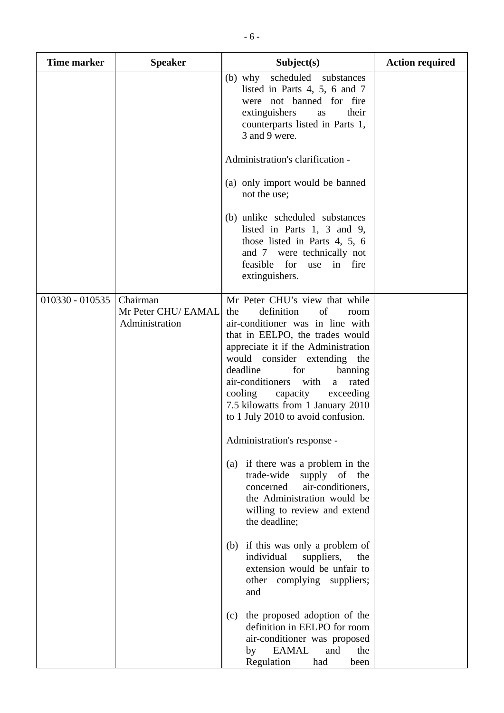| <b>Time marker</b> | <b>Speaker</b>                                    | Subject(s)                                                                                                                                                                                                                                                                                                                                                                                            | <b>Action required</b> |
|--------------------|---------------------------------------------------|-------------------------------------------------------------------------------------------------------------------------------------------------------------------------------------------------------------------------------------------------------------------------------------------------------------------------------------------------------------------------------------------------------|------------------------|
|                    |                                                   | (b) why scheduled substances<br>listed in Parts 4, 5, 6 and 7<br>were not banned for fire<br>extinguishers<br>their<br>as<br>counterparts listed in Parts 1,<br>3 and 9 were.                                                                                                                                                                                                                         |                        |
|                    |                                                   | Administration's clarification -                                                                                                                                                                                                                                                                                                                                                                      |                        |
|                    |                                                   | (a) only import would be banned<br>not the use;                                                                                                                                                                                                                                                                                                                                                       |                        |
|                    |                                                   | (b) unlike scheduled substances<br>listed in Parts 1, 3 and 9,<br>those listed in Parts 4, 5, 6<br>and 7 were technically not<br>feasible for<br>in fire<br>use<br>extinguishers.                                                                                                                                                                                                                     |                        |
| 010330 - 010535    | Chairman<br>Mr Peter CHU/ EAMAL<br>Administration | Mr Peter CHU's view that while<br>definition<br>of<br>the<br>room<br>air-conditioner was in line with<br>that in EELPO, the trades would<br>appreciate it if the Administration<br>would consider extending the<br>deadline<br>for<br>banning<br>air-conditioners with<br>rated<br>a a<br>cooling<br>capacity<br>exceeding<br>7.5 kilowatts from 1 January 2010<br>to 1 July 2010 to avoid confusion. |                        |
|                    |                                                   | Administration's response -                                                                                                                                                                                                                                                                                                                                                                           |                        |
|                    |                                                   | if there was a problem in the<br>(a)<br>trade-wide<br>supply of the<br>air-conditioners,<br>concerned<br>the Administration would be<br>willing to review and extend<br>the deadline;                                                                                                                                                                                                                 |                        |
|                    |                                                   | (b) if this was only a problem of<br>individual<br>suppliers,<br>the<br>extension would be unfair to<br>other complying suppliers;<br>and                                                                                                                                                                                                                                                             |                        |
|                    |                                                   | the proposed adoption of the<br>(c)<br>definition in EELPO for room<br>air-conditioner was proposed<br><b>EAMAL</b><br>and<br>the<br>by<br>Regulation<br>had<br>been                                                                                                                                                                                                                                  |                        |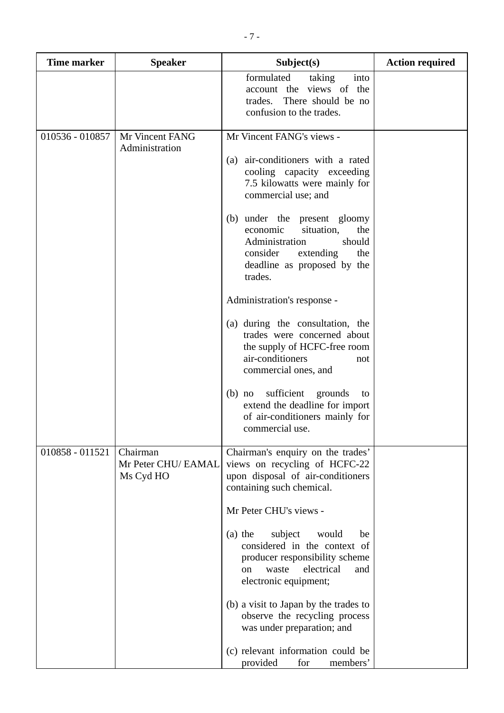| <b>Time marker</b> | <b>Speaker</b>                               | Subject(s)                                                                                                                                                                                                                                                                                                                                                                                                                                                                                                                  | <b>Action required</b> |
|--------------------|----------------------------------------------|-----------------------------------------------------------------------------------------------------------------------------------------------------------------------------------------------------------------------------------------------------------------------------------------------------------------------------------------------------------------------------------------------------------------------------------------------------------------------------------------------------------------------------|------------------------|
|                    |                                              | formulated<br>taking<br>into<br>account the views of the<br>trades. There should be no<br>confusion to the trades.                                                                                                                                                                                                                                                                                                                                                                                                          |                        |
| 010536 - 010857    | Mr Vincent FANG<br>Administration            | Mr Vincent FANG's views -<br>air-conditioners with a rated<br>(a)<br>cooling capacity exceeding<br>7.5 kilowatts were mainly for<br>commercial use; and<br>(b) under the present gloomy<br>economic<br>situation,<br>the<br>Administration<br>should<br>consider<br>extending<br>the<br>deadline as proposed by the<br>trades.<br>Administration's response -<br>(a) during the consultation, the<br>trades were concerned about<br>the supply of HCFC-free room                                                            |                        |
|                    |                                              | air-conditioners<br>not<br>commercial ones, and<br>sufficient<br>grounds<br>$(b)$ no<br>to<br>extend the deadline for import<br>of air-conditioners mainly for<br>commercial use.                                                                                                                                                                                                                                                                                                                                           |                        |
| 010858 - 011521    | Chairman<br>Mr Peter CHU/ EAMAL<br>Ms Cyd HO | Chairman's enquiry on the trades'<br>views on recycling of HCFC-22<br>upon disposal of air-conditioners<br>containing such chemical.<br>Mr Peter CHU's views -<br>subject<br>$(a)$ the<br>would<br>be<br>considered in the context of<br>producer responsibility scheme<br>electrical<br>waste<br>and<br><sub>on</sub><br>electronic equipment;<br>(b) a visit to Japan by the trades to<br>observe the recycling process<br>was under preparation; and<br>(c) relevant information could be<br>provided<br>for<br>members' |                        |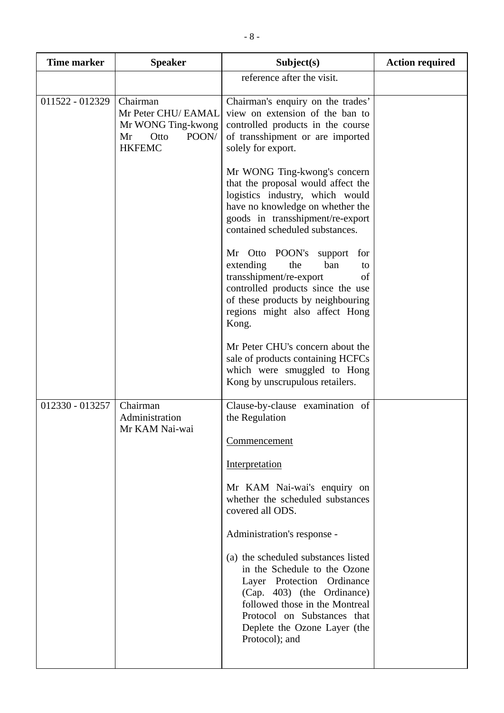| <b>Time marker</b> | <b>Speaker</b>                                                                                | Subject(s)                                                                                                                                                                                                                                         | <b>Action required</b> |
|--------------------|-----------------------------------------------------------------------------------------------|----------------------------------------------------------------------------------------------------------------------------------------------------------------------------------------------------------------------------------------------------|------------------------|
|                    |                                                                                               | reference after the visit.                                                                                                                                                                                                                         |                        |
| 011522 - 012329    | Chairman<br>Mr Peter CHU/ EAMAL<br>Mr WONG Ting-kwong<br>POON/<br>Mr<br>Otto<br><b>HKFEMC</b> | Chairman's enquiry on the trades'<br>view on extension of the ban to<br>controlled products in the course<br>of transshipment or are imported<br>solely for export.                                                                                |                        |
|                    |                                                                                               | Mr WONG Ting-kwong's concern<br>that the proposal would affect the<br>logistics industry, which would<br>have no knowledge on whether the<br>goods in transshipment/re-export<br>contained scheduled substances.                                   |                        |
|                    |                                                                                               | Mr Otto POON's<br>support<br>for<br>extending<br>the<br>ban<br>to<br>transshipment/re-export<br>of<br>controlled products since the use<br>of these products by neighbouring<br>regions might also affect Hong<br>Kong.                            |                        |
|                    |                                                                                               | Mr Peter CHU's concern about the<br>sale of products containing HCFCs<br>which were smuggled to Hong<br>Kong by unscrupulous retailers.                                                                                                            |                        |
| 012330 - 013257    | Chairman<br>Administration<br>Mr KAM Nai-wai                                                  | Clause-by-clause examination of<br>the Regulation                                                                                                                                                                                                  |                        |
|                    |                                                                                               | <b>Commencement</b><br>Interpretation                                                                                                                                                                                                              |                        |
|                    |                                                                                               | Mr KAM Nai-wai's enquiry on<br>whether the scheduled substances<br>covered all ODS.                                                                                                                                                                |                        |
|                    |                                                                                               | Administration's response -                                                                                                                                                                                                                        |                        |
|                    |                                                                                               | (a) the scheduled substances listed<br>in the Schedule to the Ozone<br>Layer Protection Ordinance<br>(Cap. 403) (the Ordinance)<br>followed those in the Montreal<br>Protocol on Substances that<br>Deplete the Ozone Layer (the<br>Protocol); and |                        |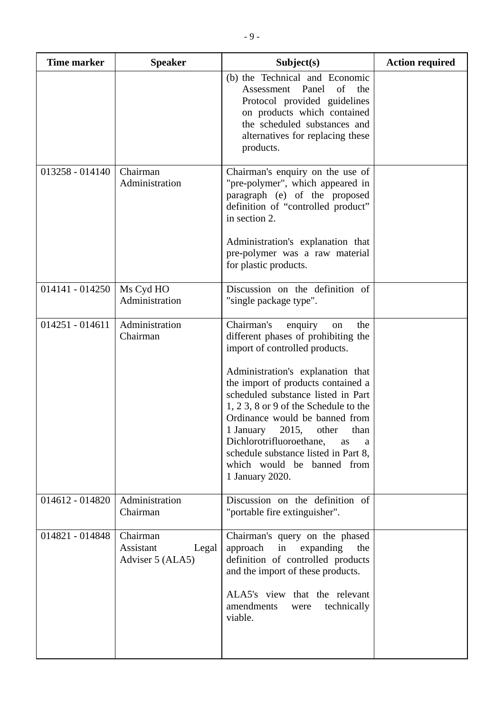| <b>Time marker</b> | <b>Speaker</b>                                     | Subject(s)                                                                                                                                                                                                                                                                                                                                                                                                                                                               | <b>Action required</b> |
|--------------------|----------------------------------------------------|--------------------------------------------------------------------------------------------------------------------------------------------------------------------------------------------------------------------------------------------------------------------------------------------------------------------------------------------------------------------------------------------------------------------------------------------------------------------------|------------------------|
|                    |                                                    | (b) the Technical and Economic<br>Panel<br>of<br>Assessment<br>the<br>Protocol provided guidelines<br>on products which contained<br>the scheduled substances and<br>alternatives for replacing these<br>products.                                                                                                                                                                                                                                                       |                        |
| 013258 - 014140    | Chairman<br>Administration                         | Chairman's enquiry on the use of<br>"pre-polymer", which appeared in<br>paragraph (e) of the proposed<br>definition of "controlled product"<br>in section 2.<br>Administration's explanation that<br>pre-polymer was a raw material<br>for plastic products.                                                                                                                                                                                                             |                        |
| 014141 - 014250    | Ms Cyd HO<br>Administration                        | Discussion on the definition of<br>"single package type".                                                                                                                                                                                                                                                                                                                                                                                                                |                        |
| $014251 - 014611$  | Administration<br>Chairman                         | Chairman's<br>enquiry<br>the<br>on<br>different phases of prohibiting the<br>import of controlled products.<br>Administration's explanation that<br>the import of products contained a<br>scheduled substance listed in Part<br>1, 2 3, 8 or 9 of the Schedule to the<br>Ordinance would be banned from<br>1 January 2015, other<br>than<br>Dichlorotrifluoroethane,<br>as<br>a<br>schedule substance listed in Part 8,<br>which would be banned from<br>1 January 2020. |                        |
| 014612 - 014820    | Administration<br>Chairman                         | Discussion on the definition of<br>"portable fire extinguisher".                                                                                                                                                                                                                                                                                                                                                                                                         |                        |
| 014821 - 014848    | Chairman<br>Assistant<br>Legal<br>Adviser 5 (ALA5) | Chairman's query on the phased<br>approach<br>in<br>expanding<br>the<br>definition of controlled products<br>and the import of these products.<br>ALA5's view that the relevant<br>amendments<br>technically<br>were<br>viable.                                                                                                                                                                                                                                          |                        |